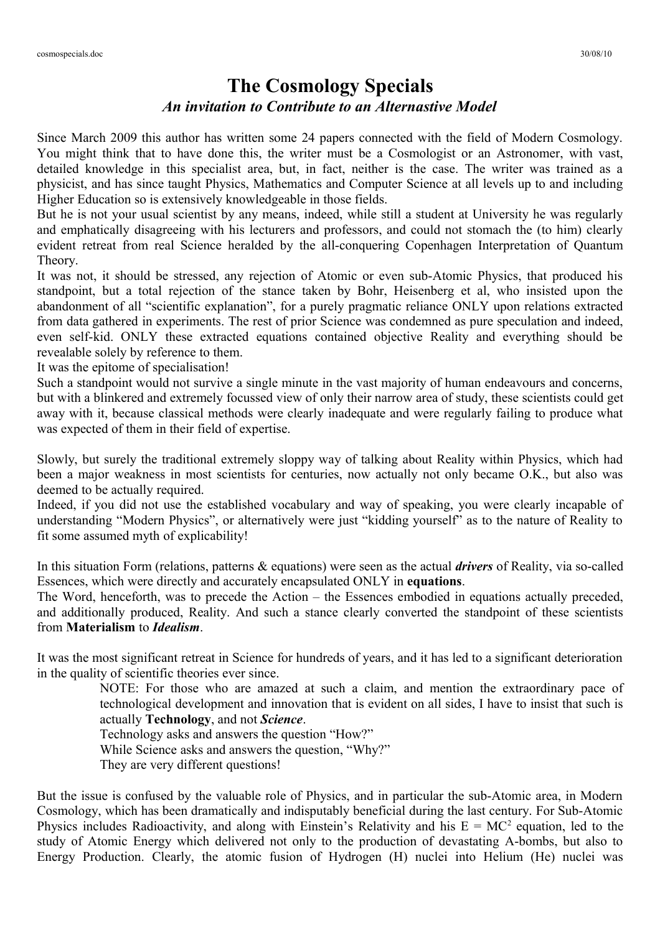## **The Cosmology Specials** *An invitation to Contribute to an Alternastive Model*

Since March 2009 this author has written some 24 papers connected with the field of Modern Cosmology. You might think that to have done this, the writer must be a Cosmologist or an Astronomer, with vast, detailed knowledge in this specialist area, but, in fact, neither is the case. The writer was trained as a physicist, and has since taught Physics, Mathematics and Computer Science at all levels up to and including Higher Education so is extensively knowledgeable in those fields.

But he is not your usual scientist by any means, indeed, while still a student at University he was regularly and emphatically disagreeing with his lecturers and professors, and could not stomach the (to him) clearly evident retreat from real Science heralded by the all-conquering Copenhagen Interpretation of Quantum Theory.

It was not, it should be stressed, any rejection of Atomic or even sub-Atomic Physics, that produced his standpoint, but a total rejection of the stance taken by Bohr, Heisenberg et al, who insisted upon the abandonment of all "scientific explanation", for a purely pragmatic reliance ONLY upon relations extracted from data gathered in experiments. The rest of prior Science was condemned as pure speculation and indeed, even self-kid. ONLY these extracted equations contained objective Reality and everything should be revealable solely by reference to them.

It was the epitome of specialisation!

Such a standpoint would not survive a single minute in the vast majority of human endeavours and concerns, but with a blinkered and extremely focussed view of only their narrow area of study, these scientists could get away with it, because classical methods were clearly inadequate and were regularly failing to produce what was expected of them in their field of expertise.

Slowly, but surely the traditional extremely sloppy way of talking about Reality within Physics, which had been a major weakness in most scientists for centuries, now actually not only became O.K., but also was deemed to be actually required.

Indeed, if you did not use the established vocabulary and way of speaking, you were clearly incapable of understanding "Modern Physics", or alternatively were just "kidding yourself" as to the nature of Reality to fit some assumed myth of explicability!

In this situation Form (relations, patterns & equations) were seen as the actual *drivers* of Reality, via so-called Essences, which were directly and accurately encapsulated ONLY in **equations**.

The Word, henceforth, was to precede the Action – the Essences embodied in equations actually preceded, and additionally produced, Reality. And such a stance clearly converted the standpoint of these scientists from **Materialism** to *Idealism*.

It was the most significant retreat in Science for hundreds of years, and it has led to a significant deterioration in the quality of scientific theories ever since.

> NOTE: For those who are amazed at such a claim, and mention the extraordinary pace of technological development and innovation that is evident on all sides, I have to insist that such is actually **Technology**, and not *Science*.

Technology asks and answers the question "How?"

While Science asks and answers the question, "Why?"

They are very different questions!

But the issue is confused by the valuable role of Physics, and in particular the sub-Atomic area, in Modern Cosmology, which has been dramatically and indisputably beneficial during the last century. For Sub-Atomic Physics includes Radioactivity, and along with Einstein's Relativity and his  $E = MC^2$  equation, led to the study of Atomic Energy which delivered not only to the production of devastating A-bombs, but also to Energy Production. Clearly, the atomic fusion of Hydrogen (H) nuclei into Helium (He) nuclei was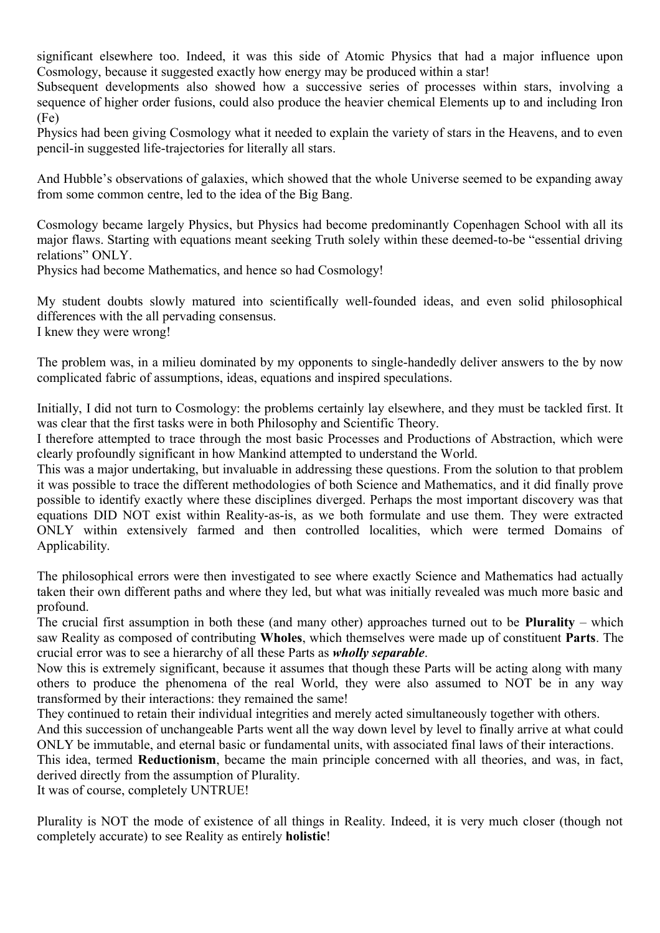significant elsewhere too. Indeed, it was this side of Atomic Physics that had a major influence upon Cosmology, because it suggested exactly how energy may be produced within a star!

Subsequent developments also showed how a successive series of processes within stars, involving a sequence of higher order fusions, could also produce the heavier chemical Elements up to and including Iron (Fe)

Physics had been giving Cosmology what it needed to explain the variety of stars in the Heavens, and to even pencil-in suggested life-trajectories for literally all stars.

And Hubble's observations of galaxies, which showed that the whole Universe seemed to be expanding away from some common centre, led to the idea of the Big Bang.

Cosmology became largely Physics, but Physics had become predominantly Copenhagen School with all its major flaws. Starting with equations meant seeking Truth solely within these deemed-to-be "essential driving relations" ONLY.

Physics had become Mathematics, and hence so had Cosmology!

My student doubts slowly matured into scientifically well-founded ideas, and even solid philosophical differences with the all pervading consensus. I knew they were wrong!

The problem was, in a milieu dominated by my opponents to single-handedly deliver answers to the by now complicated fabric of assumptions, ideas, equations and inspired speculations.

Initially, I did not turn to Cosmology: the problems certainly lay elsewhere, and they must be tackled first. It was clear that the first tasks were in both Philosophy and Scientific Theory.

I therefore attempted to trace through the most basic Processes and Productions of Abstraction, which were clearly profoundly significant in how Mankind attempted to understand the World.

This was a major undertaking, but invaluable in addressing these questions. From the solution to that problem it was possible to trace the different methodologies of both Science and Mathematics, and it did finally prove possible to identify exactly where these disciplines diverged. Perhaps the most important discovery was that equations DID NOT exist within Reality-as-is, as we both formulate and use them. They were extracted ONLY within extensively farmed and then controlled localities, which were termed Domains of Applicability.

The philosophical errors were then investigated to see where exactly Science and Mathematics had actually taken their own different paths and where they led, but what was initially revealed was much more basic and profound.

The crucial first assumption in both these (and many other) approaches turned out to be **Plurality** – which saw Reality as composed of contributing **Wholes**, which themselves were made up of constituent **Parts**. The crucial error was to see a hierarchy of all these Parts as *wholly separable*.

Now this is extremely significant, because it assumes that though these Parts will be acting along with many others to produce the phenomena of the real World, they were also assumed to NOT be in any way transformed by their interactions: they remained the same!

They continued to retain their individual integrities and merely acted simultaneously together with others.

And this succession of unchangeable Parts went all the way down level by level to finally arrive at what could ONLY be immutable, and eternal basic or fundamental units, with associated final laws of their interactions.

This idea, termed **Reductionism**, became the main principle concerned with all theories, and was, in fact, derived directly from the assumption of Plurality.

It was of course, completely UNTRUE!

Plurality is NOT the mode of existence of all things in Reality. Indeed, it is very much closer (though not completely accurate) to see Reality as entirely **holistic**!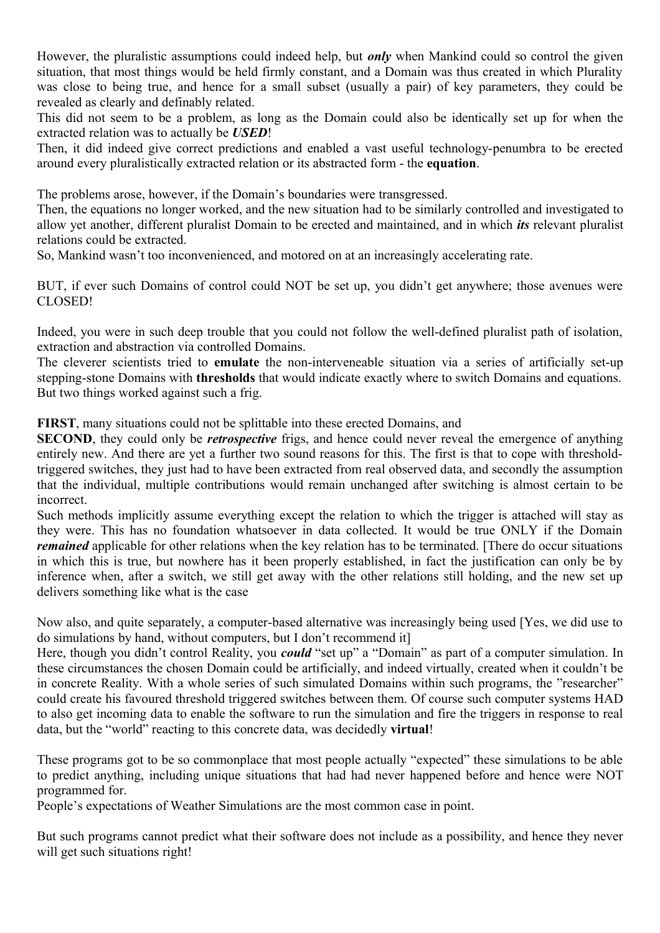However, the pluralistic assumptions could indeed help, but *only* when Mankind could so control the given situation, that most things would be held firmly constant, and a Domain was thus created in which Plurality was close to being true, and hence for a small subset (usually a pair) of key parameters, they could be revealed as clearly and definably related.

This did not seem to be a problem, as long as the Domain could also be identically set up for when the extracted relation was to actually be *USED*!

Then, it did indeed give correct predictions and enabled a vast useful technology-penumbra to be erected around every pluralistically extracted relation or its abstracted form - the **equation**.

The problems arose, however, if the Domain's boundaries were transgressed.

Then, the equations no longer worked, and the new situation had to be similarly controlled and investigated to allow yet another, different pluralist Domain to be erected and maintained, and in which *its* relevant pluralist relations could be extracted.

So, Mankind wasn't too inconvenienced, and motored on at an increasingly accelerating rate.

BUT, if ever such Domains of control could NOT be set up, you didn't get anywhere; those avenues were CLOSED!

Indeed, you were in such deep trouble that you could not follow the well-defined pluralist path of isolation, extraction and abstraction via controlled Domains.

The cleverer scientists tried to **emulate** the non-interveneable situation via a series of artificially set-up stepping-stone Domains with **thresholds** that would indicate exactly where to switch Domains and equations. But two things worked against such a frig.

**FIRST**, many situations could not be splittable into these erected Domains, and

**SECOND**, they could only be *retrospective* frigs, and hence could never reveal the emergence of anything entirely new. And there are yet a further two sound reasons for this. The first is that to cope with thresholdtriggered switches, they just had to have been extracted from real observed data, and secondly the assumption that the individual, multiple contributions would remain unchanged after switching is almost certain to be incorrect.

Such methods implicitly assume everything except the relation to which the trigger is attached will stay as they were. This has no foundation whatsoever in data collected. It would be true ONLY if the Domain *remained* applicable for other relations when the key relation has to be terminated. [There do occur situations in which this is true, but nowhere has it been properly established, in fact the justification can only be by inference when, after a switch, we still get away with the other relations still holding, and the new set up delivers something like what is the case

Now also, and quite separately, a computer-based alternative was increasingly being used [Yes, we did use to do simulations by hand, without computers, but I don't recommend it]

Here, though you didn't control Reality, you *could* "set up" a "Domain" as part of a computer simulation. In these circumstances the chosen Domain could be artificially, and indeed virtually, created when it couldn't be in concrete Reality. With a whole series of such simulated Domains within such programs, the "researcher" could create his favoured threshold triggered switches between them. Of course such computer systems HAD to also get incoming data to enable the software to run the simulation and fire the triggers in response to real data, but the "world" reacting to this concrete data, was decidedly **virtual**!

These programs got to be so commonplace that most people actually "expected" these simulations to be able to predict anything, including unique situations that had had never happened before and hence were NOT programmed for.

People's expectations of Weather Simulations are the most common case in point.

But such programs cannot predict what their software does not include as a possibility, and hence they never will get such situations right!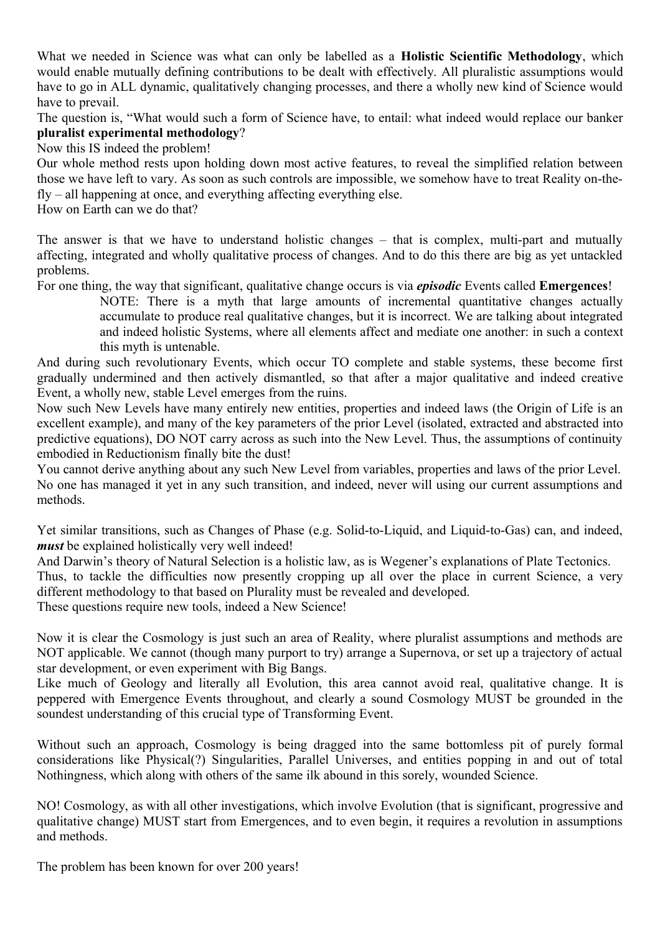What we needed in Science was what can only be labelled as a **Holistic Scientific Methodology**, which would enable mutually defining contributions to be dealt with effectively. All pluralistic assumptions would have to go in ALL dynamic, qualitatively changing processes, and there a wholly new kind of Science would have to prevail.

The question is, "What would such a form of Science have, to entail: what indeed would replace our banker **pluralist experimental methodology**?

Now this IS indeed the problem!

Our whole method rests upon holding down most active features, to reveal the simplified relation between those we have left to vary. As soon as such controls are impossible, we somehow have to treat Reality on-thefly – all happening at once, and everything affecting everything else.

How on Earth can we do that?

The answer is that we have to understand holistic changes – that is complex, multi-part and mutually affecting, integrated and wholly qualitative process of changes. And to do this there are big as yet untackled problems.

For one thing, the way that significant, qualitative change occurs is via *episodic* Events called **Emergences**!

NOTE: There is a myth that large amounts of incremental quantitative changes actually accumulate to produce real qualitative changes, but it is incorrect. We are talking about integrated and indeed holistic Systems, where all elements affect and mediate one another: in such a context this myth is untenable.

And during such revolutionary Events, which occur TO complete and stable systems, these become first gradually undermined and then actively dismantled, so that after a major qualitative and indeed creative Event, a wholly new, stable Level emerges from the ruins.

Now such New Levels have many entirely new entities, properties and indeed laws (the Origin of Life is an excellent example), and many of the key parameters of the prior Level (isolated, extracted and abstracted into predictive equations), DO NOT carry across as such into the New Level. Thus, the assumptions of continuity embodied in Reductionism finally bite the dust!

You cannot derive anything about any such New Level from variables, properties and laws of the prior Level. No one has managed it yet in any such transition, and indeed, never will using our current assumptions and methods.

Yet similar transitions, such as Changes of Phase (e.g. Solid-to-Liquid, and Liquid-to-Gas) can, and indeed, *must* be explained holistically very well indeed!

And Darwin's theory of Natural Selection is a holistic law, as is Wegener's explanations of Plate Tectonics. Thus, to tackle the difficulties now presently cropping up all over the place in current Science, a very different methodology to that based on Plurality must be revealed and developed.

These questions require new tools, indeed a New Science!

Now it is clear the Cosmology is just such an area of Reality, where pluralist assumptions and methods are NOT applicable. We cannot (though many purport to try) arrange a Supernova, or set up a trajectory of actual star development, or even experiment with Big Bangs.

Like much of Geology and literally all Evolution, this area cannot avoid real, qualitative change. It is peppered with Emergence Events throughout, and clearly a sound Cosmology MUST be grounded in the soundest understanding of this crucial type of Transforming Event.

Without such an approach, Cosmology is being dragged into the same bottomless pit of purely formal considerations like Physical(?) Singularities, Parallel Universes, and entities popping in and out of total Nothingness, which along with others of the same ilk abound in this sorely, wounded Science.

NO! Cosmology, as with all other investigations, which involve Evolution (that is significant, progressive and qualitative change) MUST start from Emergences, and to even begin, it requires a revolution in assumptions and methods.

The problem has been known for over 200 years!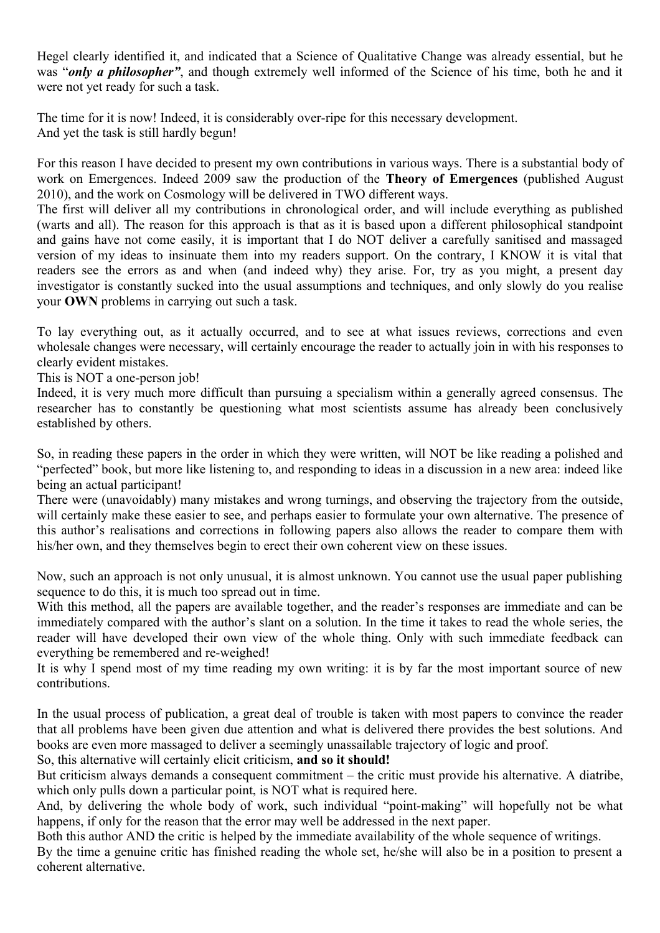Hegel clearly identified it, and indicated that a Science of Qualitative Change was already essential, but he was "*only a philosopher"*, and though extremely well informed of the Science of his time, both he and it were not yet ready for such a task.

The time for it is now! Indeed, it is considerably over-ripe for this necessary development. And yet the task is still hardly begun!

For this reason I have decided to present my own contributions in various ways. There is a substantial body of work on Emergences. Indeed 2009 saw the production of the **Theory of Emergences** (published August 2010), and the work on Cosmology will be delivered in TWO different ways.

The first will deliver all my contributions in chronological order, and will include everything as published (warts and all). The reason for this approach is that as it is based upon a different philosophical standpoint and gains have not come easily, it is important that I do NOT deliver a carefully sanitised and massaged version of my ideas to insinuate them into my readers support. On the contrary, I KNOW it is vital that readers see the errors as and when (and indeed why) they arise. For, try as you might, a present day investigator is constantly sucked into the usual assumptions and techniques, and only slowly do you realise your **OWN** problems in carrying out such a task.

To lay everything out, as it actually occurred, and to see at what issues reviews, corrections and even wholesale changes were necessary, will certainly encourage the reader to actually join in with his responses to clearly evident mistakes.

This is NOT a one-person job!

Indeed, it is very much more difficult than pursuing a specialism within a generally agreed consensus. The researcher has to constantly be questioning what most scientists assume has already been conclusively established by others.

So, in reading these papers in the order in which they were written, will NOT be like reading a polished and "perfected" book, but more like listening to, and responding to ideas in a discussion in a new area: indeed like being an actual participant!

There were (unavoidably) many mistakes and wrong turnings, and observing the trajectory from the outside, will certainly make these easier to see, and perhaps easier to formulate your own alternative. The presence of this author's realisations and corrections in following papers also allows the reader to compare them with his/her own, and they themselves begin to erect their own coherent view on these issues.

Now, such an approach is not only unusual, it is almost unknown. You cannot use the usual paper publishing sequence to do this, it is much too spread out in time.

With this method, all the papers are available together, and the reader's responses are immediate and can be immediately compared with the author's slant on a solution. In the time it takes to read the whole series, the reader will have developed their own view of the whole thing. Only with such immediate feedback can everything be remembered and re-weighed!

It is why I spend most of my time reading my own writing: it is by far the most important source of new contributions.

In the usual process of publication, a great deal of trouble is taken with most papers to convince the reader that all problems have been given due attention and what is delivered there provides the best solutions. And books are even more massaged to deliver a seemingly unassailable trajectory of logic and proof.

So, this alternative will certainly elicit criticism, **and so it should!**

But criticism always demands a consequent commitment – the critic must provide his alternative. A diatribe, which only pulls down a particular point, is NOT what is required here.

And, by delivering the whole body of work, such individual "point-making" will hopefully not be what happens, if only for the reason that the error may well be addressed in the next paper.

Both this author AND the critic is helped by the immediate availability of the whole sequence of writings. By the time a genuine critic has finished reading the whole set, he/she will also be in a position to present a

coherent alternative.